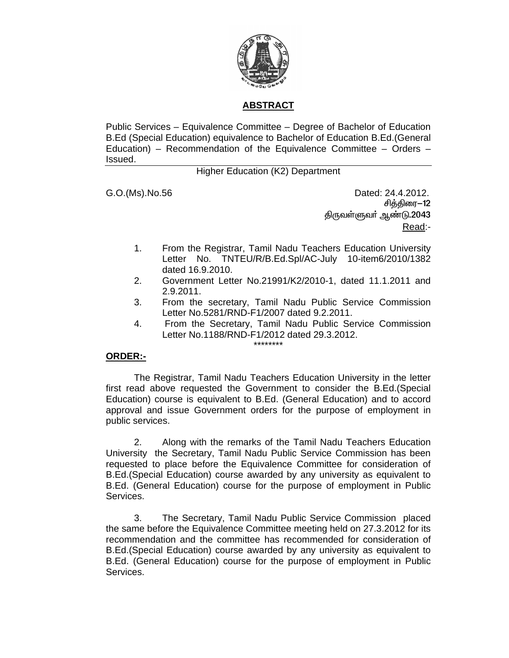

# **ABSTRACT**

Public Services – Equivalence Committee – Degree of Bachelor of Education B.Ed (Special Education) equivalence to Bachelor of Education B.Ed.(General Education) – Recommendation of the Equivalence Committee – Orders – Issued.

## Higher Education (K2) Department

G.O.(Ms).No.56 Dated: 24.4.2012. சித்திரை-12 திருவள்ளுவா் ஆண்டு.2043 Read:-

- 1. From the Registrar, Tamil Nadu Teachers Education University Letter No. TNTEU/R/B.Ed.Spl/AC-July 10-item6/2010/1382 dated 16.9.2010.
- 2. Government Letter No.21991/K2/2010-1, dated 11.1.2011 and 2.9.2011.
- 3. From the secretary, Tamil Nadu Public Service Commission Letter No.5281/RND-F1/2007 dated 9.2.2011.
- 4. From the Secretary, Tamil Nadu Public Service Commission Letter No.1188/RND-F1/2012 dated 29.3.2012.

#### \*\*\*\*\*\*\*\*

## **ORDER:-**

 The Registrar, Tamil Nadu Teachers Education University in the letter first read above requested the Government to consider the B.Ed.(Special Education) course is equivalent to B.Ed. (General Education) and to accord approval and issue Government orders for the purpose of employment in public services.

 2. Along with the remarks of the Tamil Nadu Teachers Education University the Secretary, Tamil Nadu Public Service Commission has been requested to place before the Equivalence Committee for consideration of B.Ed.(Special Education) course awarded by any university as equivalent to B.Ed. (General Education) course for the purpose of employment in Public Services.

 3. The Secretary, Tamil Nadu Public Service Commission placed the same before the Equivalence Committee meeting held on 27.3.2012 for its recommendation and the committee has recommended for consideration of B.Ed.(Special Education) course awarded by any university as equivalent to B.Ed. (General Education) course for the purpose of employment in Public Services.